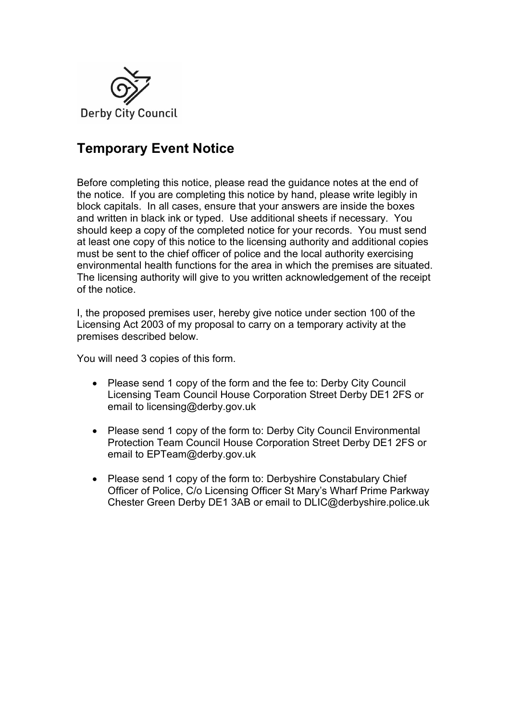

# **Temporary Event Notice**

Before completing this notice, please read the guidance notes at the end of the notice. If you are completing this notice by hand, please write legibly in block capitals. In all cases, ensure that your answers are inside the boxes and written in black ink or typed. Use additional sheets if necessary. You should keep a copy of the completed notice for your records. You must send at least one copy of this notice to the licensing authority and additional copies must be sent to the chief officer of police and the local authority exercising environmental health functions for the area in which the premises are situated. The licensing authority will give to you written acknowledgement of the receipt of the notice.

I, the proposed premises user, hereby give notice under section 100 of the Licensing Act 2003 of my proposal to carry on a temporary activity at the premises described below.

You will need 3 copies of this form.

- Please send 1 copy of the form and the fee to: Derby City Council Licensing Team Council House Corporation Street Derby DE1 2FS or email to [licensing@derby.gov.uk](mailto:licensing@derby.gov.uk)
- Please send 1 copy of the form to: Derby City Council Environmental Protection Team Council House Corporation Street Derby DE1 2FS or email to [EPTeam@derby.gov.uk](mailto:EPTeam@derby.gov.uk)
- Please send 1 copy of the form to: Derbyshire Constabulary Chief Officer of Police, C/o Licensing Officer St Mary's Wharf Prime Parkway Chester Green Derby DE1 3AB or email to DLIC@derbyshire.police.uk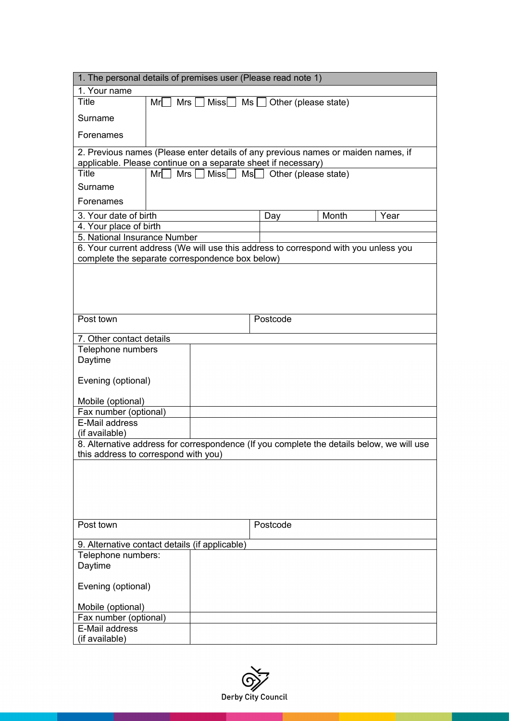| 1. The personal details of premises user (Please read note 1)                             |                   |                   |                           |                      |      |
|-------------------------------------------------------------------------------------------|-------------------|-------------------|---------------------------|----------------------|------|
| 1. Your name                                                                              |                   |                   |                           |                      |      |
| <b>Title</b>                                                                              | Mr<br>Mrs $\Box$  | $Miss$ $MS$       |                           | Other (please state) |      |
| Surname                                                                                   |                   |                   |                           |                      |      |
| Forenames                                                                                 |                   |                   |                           |                      |      |
| 2. Previous names (Please enter details of any previous names or maiden names, if         |                   |                   |                           |                      |      |
| applicable. Please continue on a separate sheet if necessary)                             |                   |                   |                           |                      |      |
| <b>Title</b>                                                                              | Mrs $\Box$<br>Mrl | Miss <sup>[</sup> | $Ms$ Other (please state) |                      |      |
| Surname                                                                                   |                   |                   |                           |                      |      |
| Forenames                                                                                 |                   |                   |                           |                      |      |
| 3. Your date of birth                                                                     |                   |                   | Day                       | Month                | Year |
| 4. Your place of birth                                                                    |                   |                   |                           |                      |      |
| 5. National Insurance Number                                                              |                   |                   |                           |                      |      |
| 6. Your current address (We will use this address to correspond with you unless you       |                   |                   |                           |                      |      |
| complete the separate correspondence box below)                                           |                   |                   |                           |                      |      |
|                                                                                           |                   |                   |                           |                      |      |
|                                                                                           |                   |                   |                           |                      |      |
|                                                                                           |                   |                   |                           |                      |      |
|                                                                                           |                   |                   |                           |                      |      |
| Post town                                                                                 |                   |                   | Postcode                  |                      |      |
| 7. Other contact details                                                                  |                   |                   |                           |                      |      |
| Telephone numbers                                                                         |                   |                   |                           |                      |      |
| Daytime                                                                                   |                   |                   |                           |                      |      |
|                                                                                           |                   |                   |                           |                      |      |
| Evening (optional)                                                                        |                   |                   |                           |                      |      |
| Mobile (optional)                                                                         |                   |                   |                           |                      |      |
| Fax number (optional)                                                                     |                   |                   |                           |                      |      |
| E-Mail address                                                                            |                   |                   |                           |                      |      |
| (if available)                                                                            |                   |                   |                           |                      |      |
| 8. Alternative address for correspondence (If you complete the details below, we will use |                   |                   |                           |                      |      |
| this address to correspond with you)                                                      |                   |                   |                           |                      |      |
|                                                                                           |                   |                   |                           |                      |      |
|                                                                                           |                   |                   |                           |                      |      |
|                                                                                           |                   |                   |                           |                      |      |
|                                                                                           |                   |                   |                           |                      |      |
|                                                                                           |                   |                   |                           |                      |      |
| Post town                                                                                 |                   |                   | Postcode                  |                      |      |
|                                                                                           |                   |                   |                           |                      |      |
| 9. Alternative contact details (if applicable)                                            |                   |                   |                           |                      |      |
| Telephone numbers:                                                                        |                   |                   |                           |                      |      |
| Daytime                                                                                   |                   |                   |                           |                      |      |
| Evening (optional)                                                                        |                   |                   |                           |                      |      |
|                                                                                           |                   |                   |                           |                      |      |
| Mobile (optional)                                                                         |                   |                   |                           |                      |      |
| Fax number (optional)<br>E-Mail address                                                   |                   |                   |                           |                      |      |
| (if available)                                                                            |                   |                   |                           |                      |      |

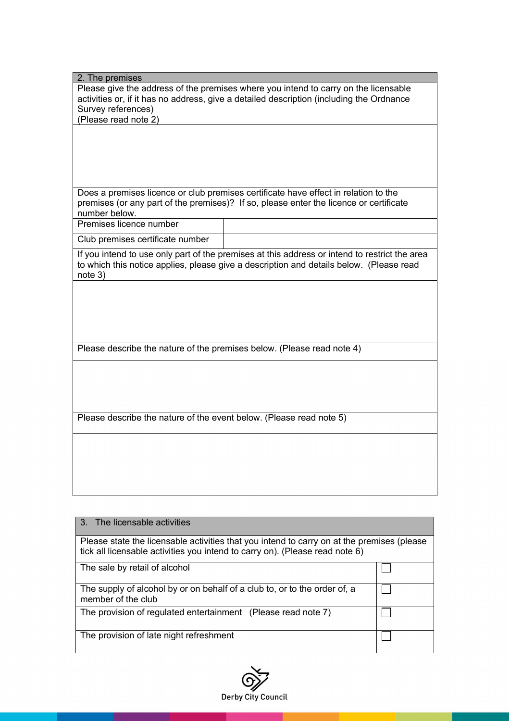| 2. The premises                                                                          |                                                                                               |  |
|------------------------------------------------------------------------------------------|-----------------------------------------------------------------------------------------------|--|
|                                                                                          | Please give the address of the premises where you intend to carry on the licensable           |  |
| activities or, if it has no address, give a detailed description (including the Ordnance |                                                                                               |  |
| Survey references)                                                                       |                                                                                               |  |
| (Please read note 2)                                                                     |                                                                                               |  |
|                                                                                          |                                                                                               |  |
|                                                                                          |                                                                                               |  |
|                                                                                          |                                                                                               |  |
|                                                                                          |                                                                                               |  |
|                                                                                          |                                                                                               |  |
|                                                                                          | Does a premises licence or club premises certificate have effect in relation to the           |  |
|                                                                                          | premises (or any part of the premises)? If so, please enter the licence or certificate        |  |
| number below.                                                                            |                                                                                               |  |
| Premises licence number                                                                  |                                                                                               |  |
| Club premises certificate number                                                         |                                                                                               |  |
|                                                                                          | If you intend to use only part of the premises at this address or intend to restrict the area |  |
|                                                                                          | to which this notice applies, please give a description and details below. (Please read       |  |
| note 3)                                                                                  |                                                                                               |  |
|                                                                                          |                                                                                               |  |
|                                                                                          |                                                                                               |  |
|                                                                                          |                                                                                               |  |
|                                                                                          |                                                                                               |  |
|                                                                                          |                                                                                               |  |
| Please describe the nature of the premises below. (Please read note 4)                   |                                                                                               |  |
|                                                                                          |                                                                                               |  |
|                                                                                          |                                                                                               |  |
|                                                                                          |                                                                                               |  |
|                                                                                          |                                                                                               |  |
|                                                                                          |                                                                                               |  |
| Please describe the nature of the event below. (Please read note 5)                      |                                                                                               |  |
|                                                                                          |                                                                                               |  |
|                                                                                          |                                                                                               |  |
|                                                                                          |                                                                                               |  |
|                                                                                          |                                                                                               |  |
|                                                                                          |                                                                                               |  |
|                                                                                          |                                                                                               |  |
|                                                                                          |                                                                                               |  |

| 3. The licensable activities                                                                                                                                               |  |  |
|----------------------------------------------------------------------------------------------------------------------------------------------------------------------------|--|--|
| Please state the licensable activities that you intend to carry on at the premises (please<br>tick all licensable activities you intend to carry on). (Please read note 6) |  |  |
| The sale by retail of alcohol                                                                                                                                              |  |  |
| The supply of alcohol by or on behalf of a club to, or to the order of, a<br>member of the club                                                                            |  |  |
| The provision of regulated entertainment (Please read note 7)                                                                                                              |  |  |
| The provision of late night refreshment                                                                                                                                    |  |  |

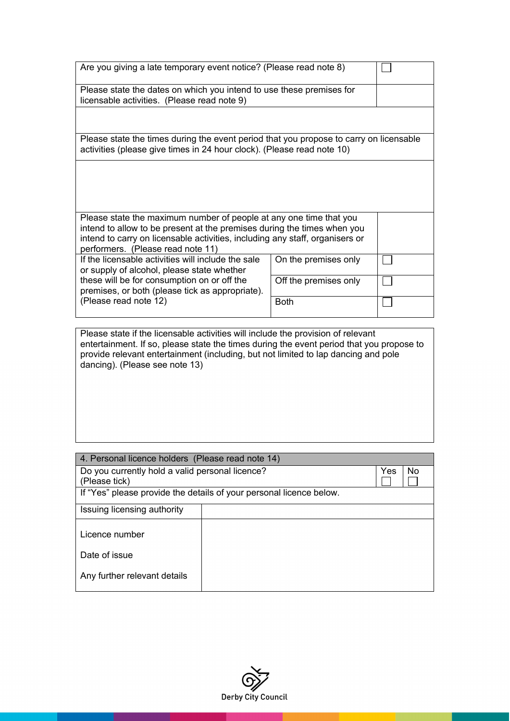| Are you giving a late temporary event notice? (Please read note 8)                                                                                               |                       |  |
|------------------------------------------------------------------------------------------------------------------------------------------------------------------|-----------------------|--|
| Please state the dates on which you intend to use these premises for<br>licensable activities. (Please read note 9)                                              |                       |  |
|                                                                                                                                                                  |                       |  |
| Please state the times during the event period that you propose to carry on licensable<br>activities (please give times in 24 hour clock). (Please read note 10) |                       |  |
|                                                                                                                                                                  |                       |  |
|                                                                                                                                                                  |                       |  |
| Please state the maximum number of people at any one time that you<br>intend to allow to be present at the premises during the times when you                    |                       |  |
| intend to carry on licensable activities, including any staff, organisers or<br>performers. (Please read note 11)                                                |                       |  |
| If the licensable activities will include the sale<br>or supply of alcohol, please state whether                                                                 | On the premises only  |  |
| these will be for consumption on or off the<br>premises, or both (please tick as appropriate).                                                                   | Off the premises only |  |
| (Please read note 12)                                                                                                                                            | <b>Both</b>           |  |
|                                                                                                                                                                  |                       |  |

Please state if the licensable activities will include the provision of relevant entertainment. If so, please state the times during the event period that you propose to provide relevant entertainment (including, but not limited to lap dancing and pole dancing). (Please see note 13)

| 4. Personal licence holders (Please read note 14)                   |  |     |    |
|---------------------------------------------------------------------|--|-----|----|
| Do you currently hold a valid personal licence?                     |  | Yes | No |
| (Please tick)                                                       |  |     |    |
| If "Yes" please provide the details of your personal licence below. |  |     |    |
| Issuing licensing authority                                         |  |     |    |
| Licence number                                                      |  |     |    |
| Date of issue                                                       |  |     |    |
| Any further relevant details                                        |  |     |    |

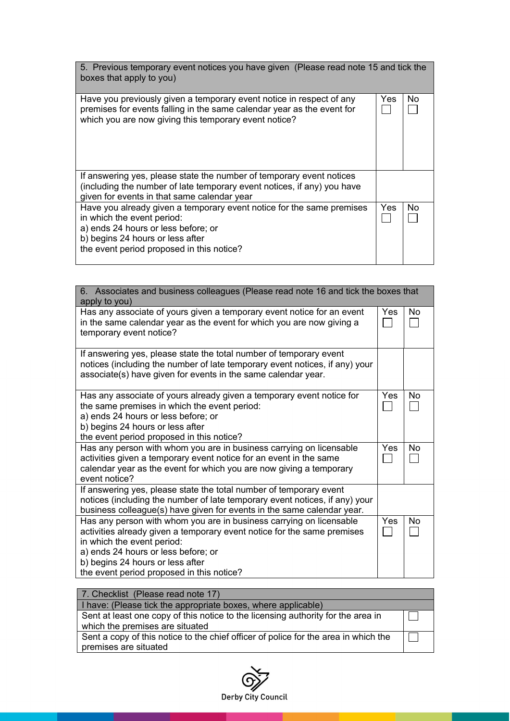| 5. Previous temporary event notices you have given (Please read note 15 and tick the<br>boxes that apply to you)                                                                                                            |      |    |
|-----------------------------------------------------------------------------------------------------------------------------------------------------------------------------------------------------------------------------|------|----|
| Have you previously given a temporary event notice in respect of any<br>premises for events falling in the same calendar year as the event for<br>which you are now giving this temporary event notice?                     | Yes  | No |
| If answering yes, please state the number of temporary event notices<br>(including the number of late temporary event notices, if any) you have<br>given for events in that same calendar year                              |      |    |
| Have you already given a temporary event notice for the same premises<br>in which the event period:<br>a) ends 24 hours or less before; or<br>b) begins 24 hours or less after<br>the event period proposed in this notice? | Yes. | No |

| 6. Associates and business colleagues (Please read note 16 and tick the boxes that<br>apply to you)                                                                                                                                                                                                  |     |           |
|------------------------------------------------------------------------------------------------------------------------------------------------------------------------------------------------------------------------------------------------------------------------------------------------------|-----|-----------|
| Has any associate of yours given a temporary event notice for an event<br>in the same calendar year as the event for which you are now giving a<br>temporary event notice?                                                                                                                           | Yes | <b>No</b> |
| If answering yes, please state the total number of temporary event<br>notices (including the number of late temporary event notices, if any) your<br>associate(s) have given for events in the same calendar year.                                                                                   |     |           |
| Has any associate of yours already given a temporary event notice for<br>the same premises in which the event period:<br>a) ends 24 hours or less before; or<br>b) begins 24 hours or less after<br>the event period proposed in this notice?                                                        | Yes | <b>No</b> |
| Has any person with whom you are in business carrying on licensable<br>activities given a temporary event notice for an event in the same<br>calendar year as the event for which you are now giving a temporary<br>event notice?                                                                    | Yes | No        |
| If answering yes, please state the total number of temporary event<br>notices (including the number of late temporary event notices, if any) your<br>business colleague(s) have given for events in the same calendar year.                                                                          |     |           |
| Has any person with whom you are in business carrying on licensable<br>activities already given a temporary event notice for the same premises<br>in which the event period:<br>a) ends 24 hours or less before; or<br>b) begins 24 hours or less after<br>the event period proposed in this notice? | Yes | No        |

| 7. Checklist (Please read note 17)                                                                                  |  |
|---------------------------------------------------------------------------------------------------------------------|--|
| I have: (Please tick the appropriate boxes, where applicable)                                                       |  |
| Sent at least one copy of this notice to the licensing authority for the area in<br>which the premises are situated |  |
| Sent a copy of this notice to the chief officer of police for the area in which the                                 |  |
| premises are situated                                                                                               |  |

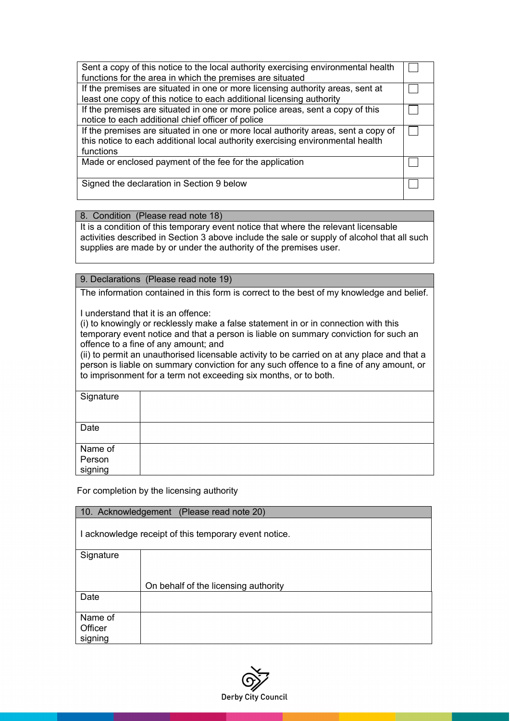| Sent a copy of this notice to the local authority exercising environmental health<br>functions for the area in which the premises are situated                                   |  |
|----------------------------------------------------------------------------------------------------------------------------------------------------------------------------------|--|
| If the premises are situated in one or more licensing authority areas, sent at<br>least one copy of this notice to each additional licensing authority                           |  |
|                                                                                                                                                                                  |  |
| If the premises are situated in one or more police areas, sent a copy of this                                                                                                    |  |
| notice to each additional chief officer of police                                                                                                                                |  |
| If the premises are situated in one or more local authority areas, sent a copy of<br>this notice to each additional local authority exercising environmental health<br>functions |  |
| Made or enclosed payment of the fee for the application                                                                                                                          |  |
| Signed the declaration in Section 9 below                                                                                                                                        |  |

8. Condition (Please read note 18)

It is a condition of this temporary event notice that where the relevant licensable activities described in Section 3 above include the sale or supply of alcohol that all such supplies are made by or under the authority of the premises user.

9. Declarations (Please read note 19)

The information contained in this form is correct to the best of my knowledge and belief.

I understand that it is an offence:

(i) to knowingly or recklessly make a false statement in or in connection with this temporary event notice and that a person is liable on summary conviction for such an offence to a fine of any amount; and

(ii) to permit an unauthorised licensable activity to be carried on at any place and that a person is liable on summary conviction for any such offence to a fine of any amount, or to imprisonment for a term not exceeding six months, or to both.

| Signature |  |
|-----------|--|
| Date      |  |
|           |  |
| Name of   |  |
| Person    |  |
| signing   |  |

For completion by the licensing authority

| 10. Acknowledgement (Please read note 20)             |                                      |  |
|-------------------------------------------------------|--------------------------------------|--|
| I acknowledge receipt of this temporary event notice. |                                      |  |
| Signature                                             |                                      |  |
|                                                       |                                      |  |
|                                                       | On behalf of the licensing authority |  |
| Date                                                  |                                      |  |
| Name of                                               |                                      |  |
| Officer                                               |                                      |  |
| signing                                               |                                      |  |

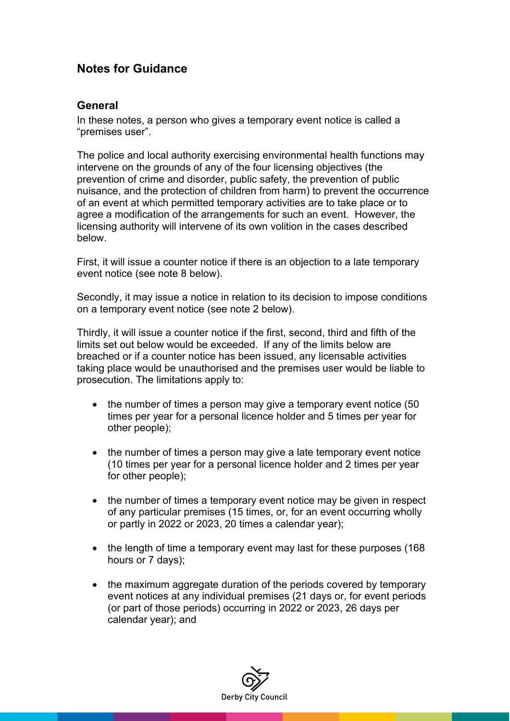### **Notes for Guidance**

#### **General**

In these notes, a person who gives a temporary event notice is called a "premises user".

The police and local authority exercising environmental health functions may intervene on the grounds of any of the four licensing objectives (the prevention of crime and disorder, public safety, the prevention of public nuisance, and the protection of children from harm) to prevent the occurrence of an event at which permitted temporary activities are to take place or to agree a modification of the arrangements for such an event. However, the licensing authority will intervene of its own volition in the cases described below.

First, it will issue a counter notice if there is an objection to a late temporary event notice (see note 8 below).

Secondly, it may issue a notice in relation to its decision to impose conditions on a temporary event notice (see note 2 below).

Thirdly, it will issue a counter notice if the first, second, third and fifth of the limits set out below would be exceeded. If any of the limits below are breached or if a counter notice has been issued, any licensable activities taking place would be unauthorised and the premises user would be liable to prosecution. The limitations apply to:

- the number of times a person may give a temporary event notice (50) times per year for a personal licence holder and 5 times per year for other people);
- the number of times a person may give a late temporary event notice (10 times per year for a personal licence holder and 2 times per year for other people);
- the number of times a temporary event notice may be given in respect of any particular premises (15 times, or, for an event occurring wholly or partly in 2022 or 2023, 20 times a calendar year);
- the length of time a temporary event may last for these purposes (168) hours or 7 days);
- the maximum aggregate duration of the periods covered by temporary event notices at any individual premises (21 days or, for event periods (or part of those periods) occurring in 2022 or 2023, 26 days per calendar year); and

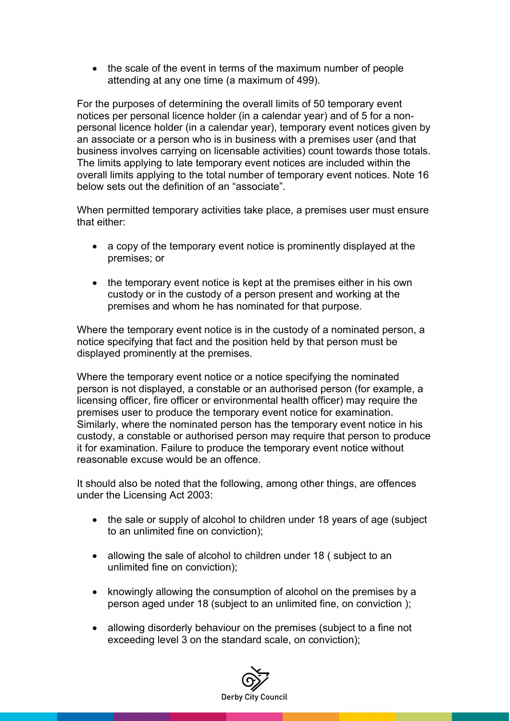• the scale of the event in terms of the maximum number of people attending at any one time (a maximum of 499).

For the purposes of determining the overall limits of 50 temporary event notices per personal licence holder (in a calendar year) and of 5 for a nonpersonal licence holder (in a calendar year), temporary event notices given by an associate or a person who is in business with a premises user (and that business involves carrying on licensable activities) count towards those totals. The limits applying to late temporary event notices are included within the overall limits applying to the total number of temporary event notices. Note 16 below sets out the definition of an "associate".

When permitted temporary activities take place, a premises user must ensure that either:

- a copy of the temporary event notice is prominently displayed at the premises; or
- the temporary event notice is kept at the premises either in his own custody or in the custody of a person present and working at the premises and whom he has nominated for that purpose.

Where the temporary event notice is in the custody of a nominated person, a notice specifying that fact and the position held by that person must be displayed prominently at the premises.

Where the temporary event notice or a notice specifying the nominated person is not displayed, a constable or an authorised person (for example, a licensing officer, fire officer or environmental health officer) may require the premises user to produce the temporary event notice for examination. Similarly, where the nominated person has the temporary event notice in his custody, a constable or authorised person may require that person to produce it for examination. Failure to produce the temporary event notice without reasonable excuse would be an offence.

It should also be noted that the following, among other things, are offences under the Licensing Act 2003:

- the sale or supply of alcohol to children under 18 years of age (subject) to an unlimited fine on conviction);
- allowing the sale of alcohol to children under 18 (subject to an unlimited fine on conviction);
- knowingly allowing the consumption of alcohol on the premises by a person aged under 18 (subject to an unlimited fine, on conviction );
- allowing disorderly behaviour on the premises (subject to a fine not exceeding level 3 on the standard scale, on conviction);

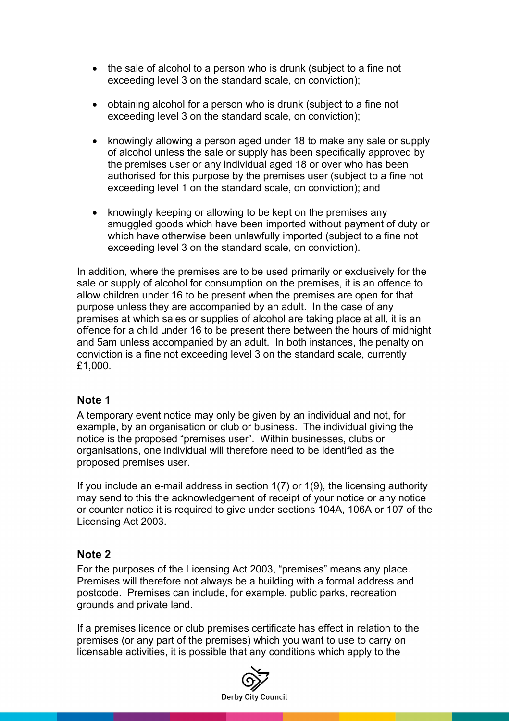- the sale of alcohol to a person who is drunk (subject to a fine not exceeding level 3 on the standard scale, on conviction);
- obtaining alcohol for a person who is drunk (subject to a fine not exceeding level 3 on the standard scale, on conviction);
- knowingly allowing a person aged under 18 to make any sale or supply of alcohol unless the sale or supply has been specifically approved by the premises user or any individual aged 18 or over who has been authorised for this purpose by the premises user (subject to a fine not exceeding level 1 on the standard scale, on conviction); and
- knowingly keeping or allowing to be kept on the premises any smuggled goods which have been imported without payment of duty or which have otherwise been unlawfully imported (subject to a fine not exceeding level 3 on the standard scale, on conviction).

In addition, where the premises are to be used primarily or exclusively for the sale or supply of alcohol for consumption on the premises, it is an offence to allow children under 16 to be present when the premises are open for that purpose unless they are accompanied by an adult. In the case of any premises at which sales or supplies of alcohol are taking place at all, it is an offence for a child under 16 to be present there between the hours of midnight and 5am unless accompanied by an adult. In both instances, the penalty on conviction is a fine not exceeding level 3 on the standard scale, currently £1,000.

#### **Note 1**

A temporary event notice may only be given by an individual and not, for example, by an organisation or club or business. The individual giving the notice is the proposed "premises user". Within businesses, clubs or organisations, one individual will therefore need to be identified as the proposed premises user.

If you include an e-mail address in section 1(7) or 1(9), the licensing authority may send to this the acknowledgement of receipt of your notice or any notice or counter notice it is required to give under sections 104A, 106A or 107 of the Licensing Act 2003.

#### **Note 2**

For the purposes of the Licensing Act 2003, "premises" means any place. Premises will therefore not always be a building with a formal address and postcode. Premises can include, for example, public parks, recreation grounds and private land.

If a premises licence or club premises certificate has effect in relation to the premises (or any part of the premises) which you want to use to carry on licensable activities, it is possible that any conditions which apply to the

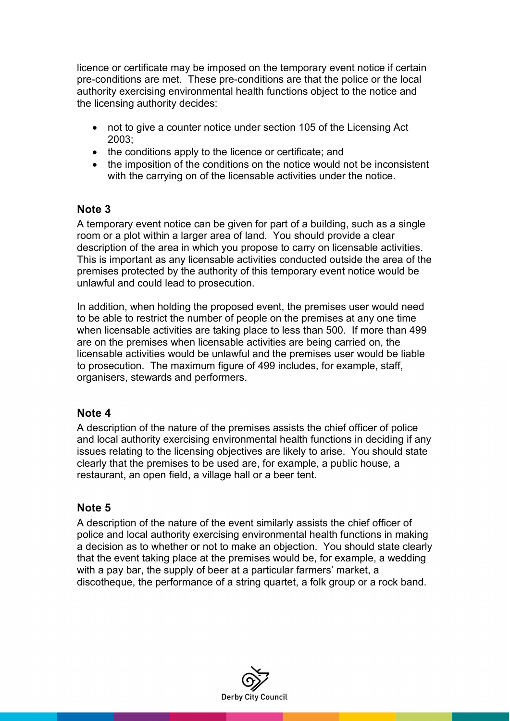licence or certificate may be imposed on the temporary event notice if certain pre-conditions are met. These pre-conditions are that the police or the local authority exercising environmental health functions object to the notice and the licensing authority decides:

- not to give a counter notice under section 105 of the Licensing Act 2003;
- the conditions apply to the licence or certificate; and
- the imposition of the conditions on the notice would not be inconsistent with the carrying on of the licensable activities under the notice.

### **Note 3**

A temporary event notice can be given for part of a building, such as a single room or a plot within a larger area of land. You should provide a clear description of the area in which you propose to carry on licensable activities. This is important as any licensable activities conducted outside the area of the premises protected by the authority of this temporary event notice would be unlawful and could lead to prosecution.

In addition, when holding the proposed event, the premises user would need to be able to restrict the number of people on the premises at any one time when licensable activities are taking place to less than 500. If more than 499 are on the premises when licensable activities are being carried on, the licensable activities would be unlawful and the premises user would be liable to prosecution. The maximum figure of 499 includes, for example, staff, organisers, stewards and performers.

#### **Note 4**

A description of the nature of the premises assists the chief officer of police and local authority exercising environmental health functions in deciding if any issues relating to the licensing objectives are likely to arise. You should state clearly that the premises to be used are, for example, a public house, a restaurant, an open field, a village hall or a beer tent.

### **Note 5**

A description of the nature of the event similarly assists the chief officer of police and local authority exercising environmental health functions in making a decision as to whether or not to make an objection. You should state clearly that the event taking place at the premises would be, for example, a wedding with a pay bar, the supply of beer at a particular farmers' market, a discotheque, the performance of a string quartet, a folk group or a rock band.

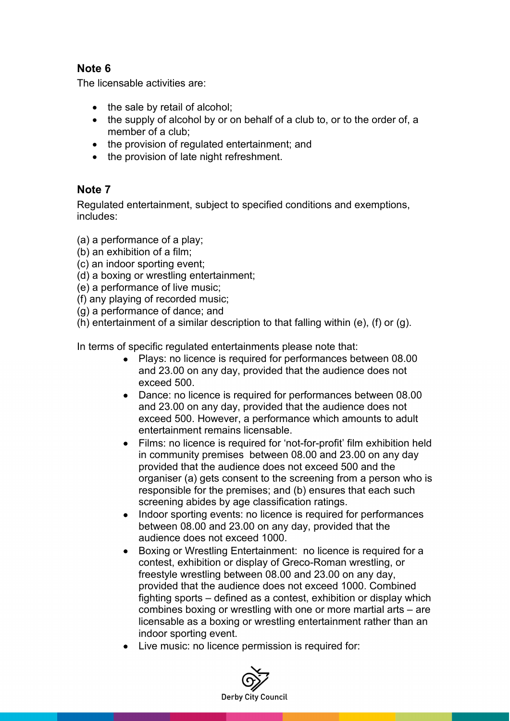### **Note 6**

The licensable activities are:

- the sale by retail of alcohol;
- the supply of alcohol by or on behalf of a club to, or to the order of, a member of a club;
- the provision of regulated entertainment; and
- the provision of late night refreshment.

### **Note 7**

Regulated entertainment, subject to specified conditions and exemptions, includes:

(a) a performance of a play;

- (b) an exhibition of a film;
- (c) an indoor sporting event;
- (d) a boxing or wrestling entertainment;

(e) a performance of live music;

(f) any playing of recorded music;

(g) a performance of dance; and

(h) entertainment of a similar description to that falling within (e), (f) or (g).

In terms of specific regulated entertainments please note that:

- Plays: no licence is required for performances between 08.00 and 23.00 on any day, provided that the audience does not exceed 500.
- Dance: no licence is required for performances between 08.00 and 23.00 on any day, provided that the audience does not exceed 500. However, a performance which amounts to adult entertainment remains licensable.
- Films: no licence is required for 'not-for-profit' film exhibition held in community premises between 08.00 and 23.00 on any day provided that the audience does not exceed 500 and the organiser (a) gets consent to the screening from a person who is responsible for the premises; and (b) ensures that each such screening abides by age classification ratings.
- Indoor sporting events: no licence is required for performances between 08.00 and 23.00 on any day, provided that the audience does not exceed 1000.
- Boxing or Wrestling Entertainment: no licence is required for a contest, exhibition or display of Greco-Roman wrestling, or freestyle wrestling between 08.00 and 23.00 on any day, provided that the audience does not exceed 1000. Combined fighting sports – defined as a contest, exhibition or display which combines boxing or wrestling with one or more martial arts – are licensable as a boxing or wrestling entertainment rather than an indoor sporting event.
- Live music: no licence permission is required for:

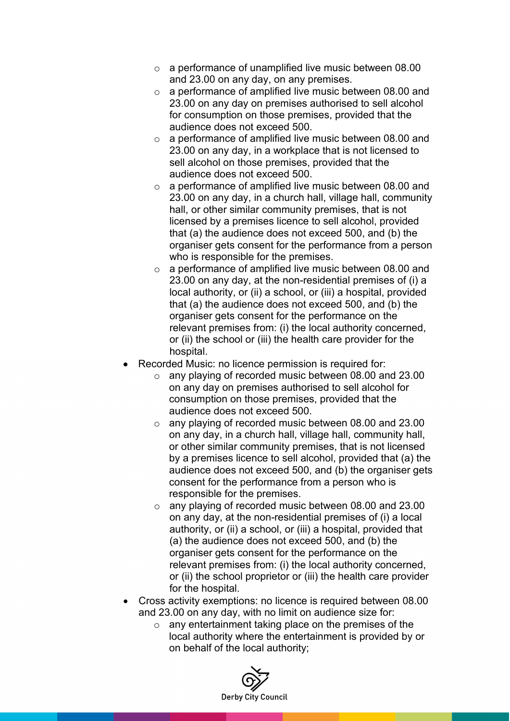- o a performance of unamplified live music between 08.00 and 23.00 on any day, on any premises.
- o a performance of amplified live music between 08.00 and 23.00 on any day on premises authorised to sell alcohol for consumption on those premises, provided that the audience does not exceed 500.
- o a performance of amplified live music between 08.00 and 23.00 on any day, in a workplace that is not licensed to sell alcohol on those premises, provided that the audience does not exceed 500.
- o a performance of amplified live music between 08.00 and 23.00 on any day, in a church hall, village hall, community hall, or other similar community premises, that is not licensed by a premises licence to sell alcohol, provided that (a) the audience does not exceed 500, and (b) the organiser gets consent for the performance from a person who is responsible for the premises.
- o a performance of amplified live music between 08.00 and 23.00 on any day, at the non-residential premises of (i) a local authority, or (ii) a school, or (iii) a hospital, provided that (a) the audience does not exceed 500, and (b) the organiser gets consent for the performance on the relevant premises from: (i) the local authority concerned, or (ii) the school or (iii) the health care provider for the hospital.
- Recorded Music: no licence permission is required for:
	- o any playing of recorded music between 08.00 and 23.00 on any day on premises authorised to sell alcohol for consumption on those premises, provided that the audience does not exceed 500.
	- o any playing of recorded music between 08.00 and 23.00 on any day, in a church hall, village hall, community hall, or other similar community premises, that is not licensed by a premises licence to sell alcohol, provided that (a) the audience does not exceed 500, and (b) the organiser gets consent for the performance from a person who is responsible for the premises.
	- o any playing of recorded music between 08.00 and 23.00 on any day, at the non-residential premises of (i) a local authority, or (ii) a school, or (iii) a hospital, provided that (a) the audience does not exceed 500, and (b) the organiser gets consent for the performance on the relevant premises from: (i) the local authority concerned, or (ii) the school proprietor or (iii) the health care provider for the hospital.
- Cross activity exemptions: no licence is required between 08.00 and 23.00 on any day, with no limit on audience size for:
	- o any entertainment taking place on the premises of the local authority where the entertainment is provided by or on behalf of the local authority;

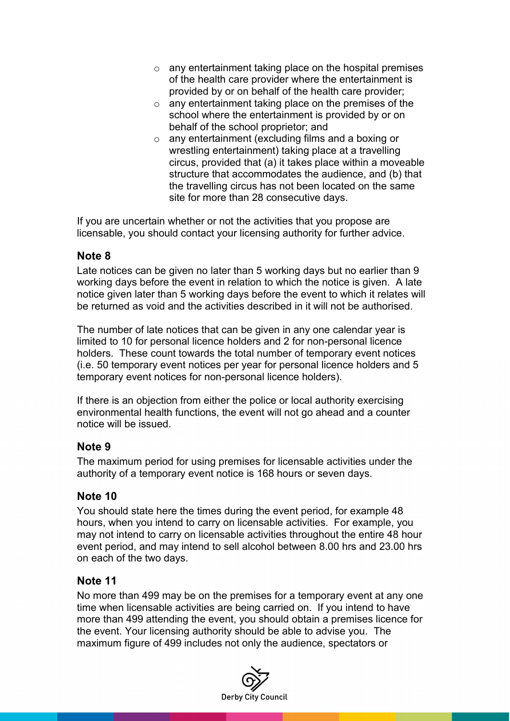- o any entertainment taking place on the hospital premises of the health care provider where the entertainment is provided by or on behalf of the health care provider;
- o any entertainment taking place on the premises of the school where the entertainment is provided by or on behalf of the school proprietor; and
- o any entertainment (excluding films and a boxing or wrestling entertainment) taking place at a travelling circus, provided that (a) it takes place within a moveable structure that accommodates the audience, and (b) that the travelling circus has not been located on the same site for more than 28 consecutive days.

If you are uncertain whether or not the activities that you propose are licensable, you should contact your licensing authority for further advice.

#### **Note 8**

Late notices can be given no later than 5 working days but no earlier than 9 working days before the event in relation to which the notice is given. A late notice given later than 5 working days before the event to which it relates will be returned as void and the activities described in it will not be authorised.

The number of late notices that can be given in any one calendar year is limited to 10 for personal licence holders and 2 for non-personal licence holders. These count towards the total number of temporary event notices (i.e. 50 temporary event notices per year for personal licence holders and 5 temporary event notices for non-personal licence holders).

If there is an objection from either the police or local authority exercising environmental health functions, the event will not go ahead and a counter notice will be issued.

### **Note 9**

The maximum period for using premises for licensable activities under the authority of a temporary event notice is 168 hours or seven days.

### **Note 10**

You should state here the times during the event period, for example 48 hours, when you intend to carry on licensable activities. For example, you may not intend to carry on licensable activities throughout the entire 48 hour event period, and may intend to sell alcohol between 8.00 hrs and 23.00 hrs on each of the two days.

### **Note 11**

No more than 499 may be on the premises for a temporary event at any one time when licensable activities are being carried on. If you intend to have more than 499 attending the event, you should obtain a premises licence for the event. Your licensing authority should be able to advise you. The maximum figure of 499 includes not only the audience, spectators or

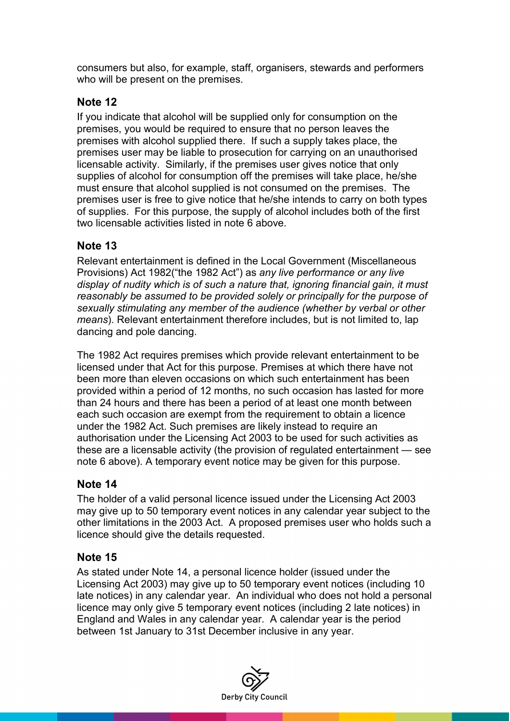consumers but also, for example, staff, organisers, stewards and performers who will be present on the premises.

### **Note 12**

If you indicate that alcohol will be supplied only for consumption on the premises, you would be required to ensure that no person leaves the premises with alcohol supplied there. If such a supply takes place, the premises user may be liable to prosecution for carrying on an unauthorised licensable activity. Similarly, if the premises user gives notice that only supplies of alcohol for consumption off the premises will take place, he/she must ensure that alcohol supplied is not consumed on the premises. The premises user is free to give notice that he/she intends to carry on both types of supplies. For this purpose, the supply of alcohol includes both of the first two licensable activities listed in note 6 above.

#### **Note 13**

Relevant entertainment is defined in the Local Government (Miscellaneous Provisions) Act 1982("the 1982 Act") as *any live performance or any live display of nudity which is of such a nature that, ignoring financial gain, it must reasonably be assumed to be provided solely or principally for the purpose of sexually stimulating any member of the audience (whether by verbal or other means*). Relevant entertainment therefore includes, but is not limited to, lap dancing and pole dancing.

The 1982 Act requires premises which provide relevant entertainment to be licensed under that Act for this purpose. Premises at which there have not been more than eleven occasions on which such entertainment has been provided within a period of 12 months, no such occasion has lasted for more than 24 hours and there has been a period of at least one month between each such occasion are exempt from the requirement to obtain a licence under the 1982 Act. Such premises are likely instead to require an authorisation under the Licensing Act 2003 to be used for such activities as these are a licensable activity (the provision of regulated entertainment — see note 6 above). A temporary event notice may be given for this purpose.

#### **Note 14**

The holder of a valid personal licence issued under the Licensing Act 2003 may give up to 50 temporary event notices in any calendar year subject to the other limitations in the 2003 Act. A proposed premises user who holds such a licence should give the details requested.

#### **Note 15**

As stated under Note 14, a personal licence holder (issued under the Licensing Act 2003) may give up to 50 temporary event notices (including 10 late notices) in any calendar year. An individual who does not hold a personal licence may only give 5 temporary event notices (including 2 late notices) in England and Wales in any calendar year. A calendar year is the period between 1st January to 31st December inclusive in any year.

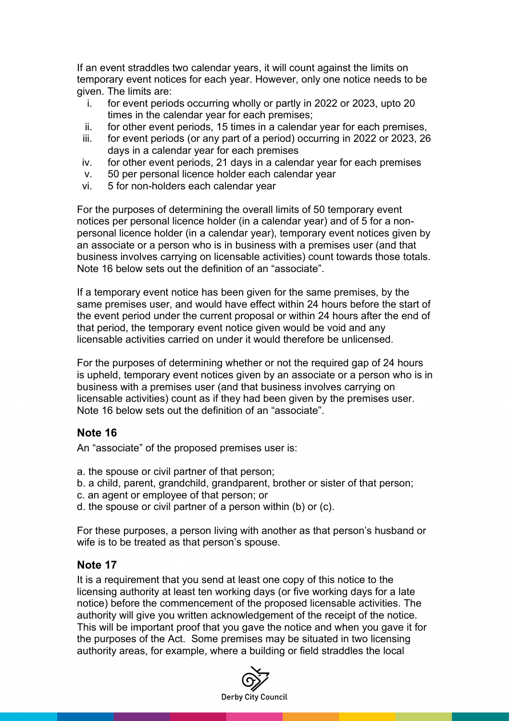If an event straddles two calendar years, it will count against the limits on temporary event notices for each year. However, only one notice needs to be given. The limits are:

- i. for event periods occurring wholly or partly in 2022 or 2023, upto 20 times in the calendar year for each premises;
- ii. for other event periods, 15 times in a calendar year for each premises,<br>iii for event periods (or any part of a period) occurring in 2022 or 2023 26
- for event periods (or any part of a period) occurring in 2022 or 2023, 26 days in a calendar year for each premises
- iv. for other event periods, 21 days in a calendar year for each premises
- v. 50 per personal licence holder each calendar year
- vi. 5 for non-holders each calendar year

For the purposes of determining the overall limits of 50 temporary event notices per personal licence holder (in a calendar year) and of 5 for a nonpersonal licence holder (in a calendar year), temporary event notices given by an associate or a person who is in business with a premises user (and that business involves carrying on licensable activities) count towards those totals. Note 16 below sets out the definition of an "associate".

If a temporary event notice has been given for the same premises, by the same premises user, and would have effect within 24 hours before the start of the event period under the current proposal or within 24 hours after the end of that period, the temporary event notice given would be void and any licensable activities carried on under it would therefore be unlicensed.

For the purposes of determining whether or not the required gap of 24 hours is upheld, temporary event notices given by an associate or a person who is in business with a premises user (and that business involves carrying on licensable activities) count as if they had been given by the premises user. Note 16 below sets out the definition of an "associate".

#### **Note 16**

An "associate" of the proposed premises user is:

- a. the spouse or civil partner of that person;
- b. a child, parent, grandchild, grandparent, brother or sister of that person;
- c. an agent or employee of that person; or
- d. the spouse or civil partner of a person within (b) or (c).

For these purposes, a person living with another as that person's husband or wife is to be treated as that person's spouse.

#### **Note 17**

It is a requirement that you send at least one copy of this notice to the licensing authority at least ten working days (or five working days for a late notice) before the commencement of the proposed licensable activities. The authority will give you written acknowledgement of the receipt of the notice. This will be important proof that you gave the notice and when you gave it for the purposes of the Act. Some premises may be situated in two licensing authority areas, for example, where a building or field straddles the local

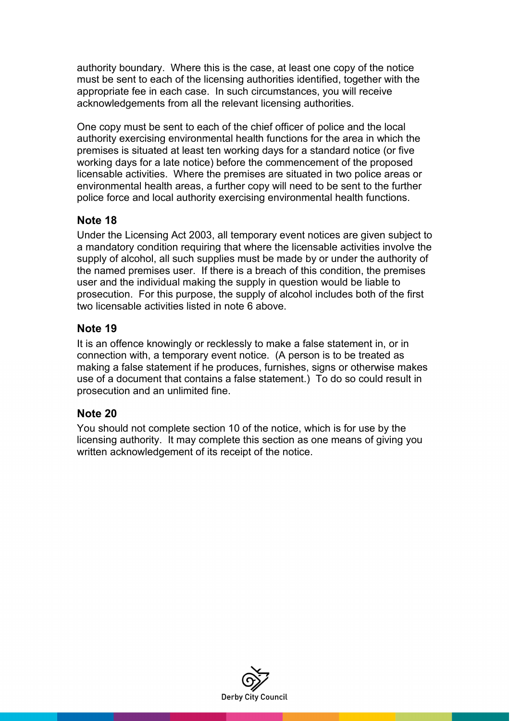authority boundary. Where this is the case, at least one copy of the notice must be sent to each of the licensing authorities identified, together with the appropriate fee in each case. In such circumstances, you will receive acknowledgements from all the relevant licensing authorities.

One copy must be sent to each of the chief officer of police and the local authority exercising environmental health functions for the area in which the premises is situated at least ten working days for a standard notice (or five working days for a late notice) before the commencement of the proposed licensable activities. Where the premises are situated in two police areas or environmental health areas, a further copy will need to be sent to the further police force and local authority exercising environmental health functions.

#### **Note 18**

Under the Licensing Act 2003, all temporary event notices are given subject to a mandatory condition requiring that where the licensable activities involve the supply of alcohol, all such supplies must be made by or under the authority of the named premises user. If there is a breach of this condition, the premises user and the individual making the supply in question would be liable to prosecution. For this purpose, the supply of alcohol includes both of the first two licensable activities listed in note 6 above.

#### **Note 19**

It is an offence knowingly or recklessly to make a false statement in, or in connection with, a temporary event notice. (A person is to be treated as making a false statement if he produces, furnishes, signs or otherwise makes use of a document that contains a false statement.) To do so could result in prosecution and an unlimited fine.

### **Note 20**

You should not complete section 10 of the notice, which is for use by the licensing authority. It may complete this section as one means of giving you written acknowledgement of its receipt of the notice.